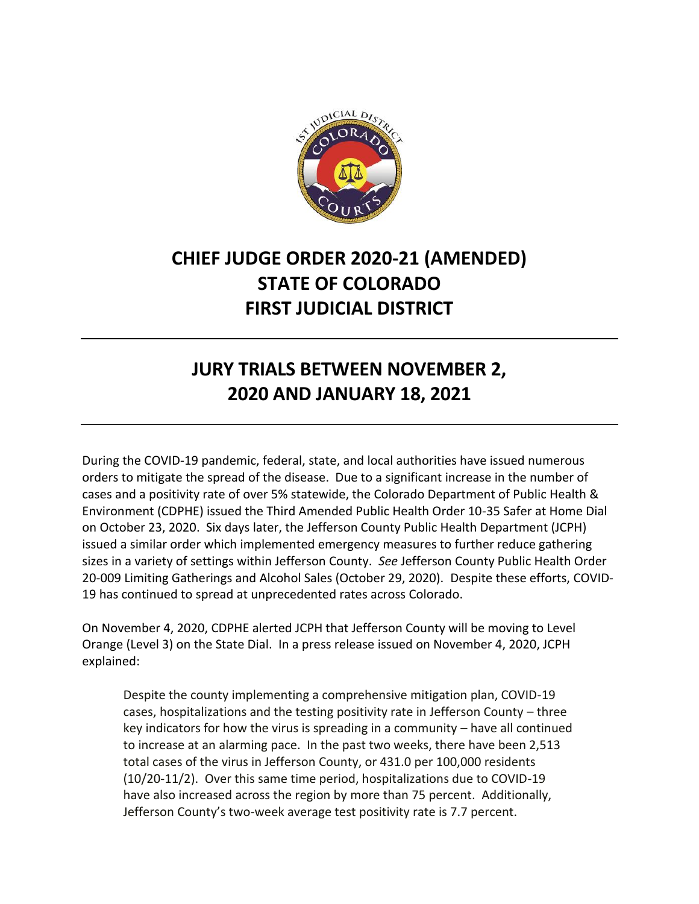

## **CHIEF JUDGE ORDER 2020-21 (AMENDED) STATE OF COLORADO FIRST JUDICIAL DISTRICT**

## **JURY TRIALS BETWEEN NOVEMBER 2, 2020 AND JANUARY 18, 2021**

During the COVID-19 pandemic, federal, state, and local authorities have issued numerous orders to mitigate the spread of the disease. Due to a significant increase in the number of cases and a positivity rate of over 5% statewide, the Colorado Department of Public Health & Environment (CDPHE) issued the Third Amended Public Health Order 10-35 Safer at Home Dial on October 23, 2020. Six days later, the Jefferson County Public Health Department (JCPH) issued a similar order which implemented emergency measures to further reduce gathering sizes in a variety of settings within Jefferson County. *See* Jefferson County Public Health Order 20-009 Limiting Gatherings and Alcohol Sales (October 29, 2020). Despite these efforts, COVID-19 has continued to spread at unprecedented rates across Colorado.

On November 4, 2020, CDPHE alerted JCPH that Jefferson County will be moving to Level Orange (Level 3) on the State Dial. In a press release issued on November 4, 2020, JCPH explained:

Despite the county implementing a comprehensive mitigation plan, COVID-19 cases, hospitalizations and the testing positivity rate in Jefferson County – three key indicators for how the virus is spreading in a community – have all continued to increase at an alarming pace. In the past two weeks, there have been 2,513 total cases of the virus in Jefferson County, or 431.0 per 100,000 residents (10/20-11/2). Over this same time period, hospitalizations due to COVID-19 have also increased across the region by more than 75 percent. Additionally, Jefferson County's two-week average test positivity rate is 7.7 percent.